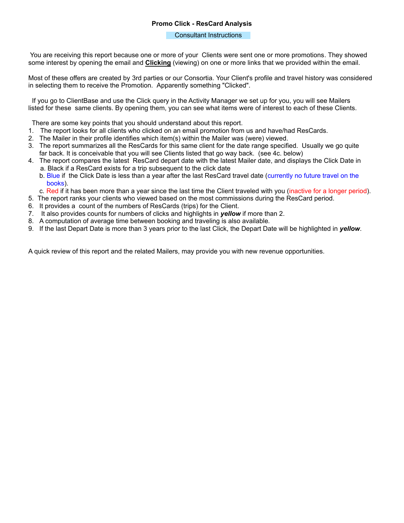#### **Promo Click - ResCard Analysis**

#### Consultant Instructions

 You are receiving this report because one or more of your Clients were sent one or more promotions. They showed some interest by opening the email and **Clicking** (viewing) on one or more links that we provided within the email.

Most of these offers are created by 3rd parties or our Consortia. Your Client's profile and travel history was considered in selecting them to receive the Promotion. Apparently something "Clicked".

 If you go to ClientBase and use the Click query in the Activity Manager we set up for you, you will see Mailers listed for these same clients. By opening them, you can see what items were of interest to each of these Clients.

There are some key points that you should understand about this report.

- 1. The report looks for all clients who clicked on an email promotion from us and have/had ResCards.
- 2. The Mailer in their profile identifies which item(s) within the Mailer was (were) viewed.
- 3. The report summarizes all the ResCards for this same client for the date range specified. Usually we go quite far back. It is conceivable that you will see Clients listed that go way back. (see 4c. below)
- 4. The report compares the latest ResCard depart date with the latest Mailer date, and displays the Click Date in a. Black if a ResCard exists for a trip subsequent to the click date
	- b. Blue if the Click Date is less than a year after the last ResCard travel date (currently no future travel on the books).
	- c. Red if it has been more than a year since the last time the Client traveled with you (inactive for a longer period).
- 5. The report ranks your clients who viewed based on the most commissions during the ResCard period.
- 6. It provides a count of the numbers of ResCards (trips) for the Client.
- 7. It also provides counts for numbers of clicks and highlights in *yellow* if more than 2.
- 8. A computation of average time between booking and traveling is also available.
- 9. If the last Depart Date is more than 3 years prior to the last Click, the Depart Date will be highlighted in *yellow*.

A quick review of this report and the related Mailers, may provide you with new revenue opportunities.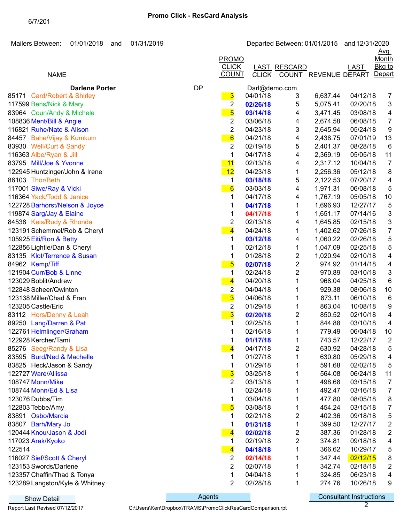| Mailers Between: | 01/01/2018 | and | 01/31/2019 |
|------------------|------------|-----|------------|
|------------------|------------|-----|------------|

| 6/7/201                        | <b>Promo Click - ResCard Analysis</b> |            |           |                                              |               |                              |                              |                |                          |  |  |
|--------------------------------|---------------------------------------|------------|-----------|----------------------------------------------|---------------|------------------------------|------------------------------|----------------|--------------------------|--|--|
| Mailers Between:               | 01/01/2018<br>and                     | 01/31/2019 |           |                                              |               |                              | Departed Between: 01/01/2015 | and 12/31/2020 | <u>Avg</u>               |  |  |
| <b>NAME</b>                    |                                       |            |           | <b>PROMO</b><br><b>CLICK</b><br><b>COUNT</b> | <b>CLICK</b>  | LAST RESCARD<br><b>COUNT</b> | REVENUE DEPART               | LAST           | Month<br>Bkg to<br>Depar |  |  |
|                                | <b>Darlene Porter</b>                 |            | <b>DP</b> |                                              | Darl@demo.com |                              |                              |                |                          |  |  |
| 85171 Card/Robert & Shirley    |                                       |            |           | $\overline{\mathbf{3}}$                      | 04/01/18      | 3                            | 6,637.44                     | 04/12/18       | 7                        |  |  |
| 117599 Bens/Nick & Mary        |                                       |            |           | $\overline{2}$                               | 02/26/18      | 5                            | 5,075.41                     | 02/20/18       | 3                        |  |  |
| 83964 Coun/Andy & Michele      |                                       |            |           | $\overline{\mathbf{5}}$                      | 03/14/18      | 4                            | 3,471.45                     | 03/08/18       | 4                        |  |  |
| 108836 Ment/Bill & Angie       |                                       |            |           | $\overline{2}$                               | 03/06/18      | 4                            | 2,674.58                     | 06/08/18       | 7                        |  |  |
| 116821 Ruhe/Nate & Alison      |                                       |            |           | 2                                            | 04/23/18      | 3                            | 2,645.94                     | 05/24/18       | 9                        |  |  |
| 84457 Bahe/Vijay & Kumkum      |                                       |            |           | $6\overline{6}$                              | 04/21/18      | 4                            | 2,438.75                     | 07/01/19       | 13                       |  |  |
| 83930 Well/Curt & Sandy        |                                       |            |           | $\overline{2}$                               | 02/19/18      | 5                            | 2,401.37                     | 08/28/18       | 6                        |  |  |
| 116363 Albe/Ryan & Jill        |                                       |            |           |                                              | 04/17/18      | 4                            | 2,369.19                     | 05/05/18       | 11                       |  |  |
| 83795 Mill/Joe & Yvonne        |                                       |            |           | 11                                           | 02/13/18      | 4                            | 2,317.12                     | 10/04/18       | $\overline{7}$           |  |  |
| 122945 Huntzinger/John & Irene |                                       |            |           | 12                                           | 04/23/18      | 1                            | 2,256.36                     | 05/12/18       | 8                        |  |  |
| 86103 Thor/Beth                |                                       |            |           |                                              | 03/18/18      | 5                            | 2,122.53                     | 07/20/17       | 4                        |  |  |
| 117001 Siwe/Ray & Vicki        |                                       |            |           | $6\overline{6}$                              | 03/03/18      | 4                            | 1,971.31                     | 06/08/18       | 5                        |  |  |
| 116364 Yack/Todd & Janice      |                                       |            |           | 1                                            | 04/17/18      | 4                            | 1,767.19                     | 05/05/18       | 10                       |  |  |

Avg Month Bkg to **Depart** 

| 83795 Mill/Joe & Yvonne        | 11                      | 02/13/18 | 4              | 2,317.12 | 10/04/18 | 7              |
|--------------------------------|-------------------------|----------|----------------|----------|----------|----------------|
| 122945 Huntzinger/John & Irene | 12                      | 04/23/18 | 1              | 2,256.36 | 05/12/18 | 8              |
| 86103 Thor/Beth                | 1                       | 03/18/18 | 5              | 2,122.53 | 07/20/17 | 4              |
| 117001 Siwe/Ray & Vicki        | $6\overline{6}$         | 03/03/18 | 4              | 1,971.31 | 06/08/18 | 5              |
| 116364 Yack/Todd & Janice      | $\mathbf{1}$            | 04/17/18 | 4              | 1,767.19 | 05/05/18 | 10             |
| 122728 Barhorst/Nelson & Joyce | 1                       | 04/17/18 | 1              | 1,696.93 | 12/27/17 | 5              |
| 119874 Sarg/Jay & Elaine       | 1                       | 04/17/18 | 1              | 1,651.17 | 07/14/16 | 3              |
| 84538 Keis/Rudy & Rhonda       | $\overline{2}$          | 02/13/18 | 4              | 1,645.85 | 02/15/18 | 3              |
| 123191 Schemmel/Rob & Cheryl   | $\overline{4}$          | 04/24/18 | 1              | 1,402.62 | 07/26/18 | 7              |
| 105925 Eiti/Ron & Betty        | 1                       | 03/12/18 | 4              | 1,060.22 | 02/26/18 | 5              |
| 122856 Lightle/Dan & Cheryl    | 1                       | 02/12/18 | 1              | 1,047.09 | 02/25/18 | 5              |
| 83135 Klot/Terrence & Susan    | 1                       | 01/28/18 | 2              | 1,020.94 | 02/10/18 | 4              |
| 84962 Kemp/Tiff                | $\overline{\mathbf{5}}$ | 02/07/18 | 2              | 974.92   | 01/14/18 | 4              |
| 121904 Curr/Bob & Linne        | 1                       | 02/24/18 | 2              | 970.89   | 03/10/18 | 3              |
| 123029 Boblit/Andrew           | $\overline{4}$          | 04/20/18 | 1              | 968.04   | 04/25/18 | 6              |
| 122848 Scheer/Qwinton          | $\overline{\mathbf{c}}$ | 04/04/18 | 1              | 929.38   | 08/06/18 | 10             |
| 123138 Miller/Chad & Fran      | $\overline{\mathbf{3}}$ | 04/06/18 | 1              | 873.11   | 06/10/18 | 6              |
| 123205 Castle/Eric             | $\overline{2}$          | 01/29/18 | 1              | 863.04   | 10/08/18 | 9              |
| 83112 Hors/Denny & Leah        | $\overline{\mathbf{3}}$ | 02/20/18 | 2              | 850.52   | 02/10/18 | 4              |
| 89250 Lang/Darren & Pat        | $\mathbf 1$             | 02/25/18 | 1              | 844.88   | 03/10/18 | $\overline{4}$ |
| 122761 Helmlinger/Graham       | 1                       | 02/16/18 | 1              | 779.49   | 06/04/18 | 10             |
| 122928 Kercher/Tami            | 1                       | 01/17/18 | 1              | 743.57   | 12/22/17 | $\overline{c}$ |
| 85276 Seeg/Randy & Lisa        | $\overline{\mathbf{4}}$ | 04/17/18 | 2              | 630.92   | 04/28/18 | 5              |
| 83595 Burd/Ned & Machelle      | 1                       | 01/27/18 | 1              | 630.80   | 05/29/18 | 4              |
| 83825 Heck/Jason & Sandy       | 1                       | 01/29/18 | 1              | 591.68   | 02/02/18 | 5              |
| 122727 Ware/Allissa            | $\overline{\mathbf{3}}$ | 03/25/18 | 1              | 564.08   | 06/24/18 | 11             |
| 108747 Monn/Mike               | $\overline{2}$          | 03/13/18 | 1              | 498.68   | 03/15/18 | $\overline{7}$ |
| 108744 Monn/Ed & Lisa          | 1                       | 02/24/18 | 1              | 492.47   | 03/16/18 | 7              |
| 123076 Dubbs/Tim               | 1                       | 03/04/18 | 1              | 477.80   | 08/05/18 | 8              |
| 122803 Tebbe/Amy               | $\overline{\mathbf{5}}$ | 03/08/18 | 1              | 454.24   | 03/15/18 | 7              |
| 83891 Osbo/Marcia              | $\mathbf 1$             | 02/21/18 | 2              | 402.36   | 09/18/18 | 5              |
| 83807 Barh/Mary Jo             | 1                       | 01/31/18 | 1              | 399.50   | 12/27/17 | $\overline{c}$ |
| 120444 Knou/Jason & Jodi       | $\overline{4}$          | 02/02/18 | 2              | 387.36   | 01/28/18 | $\overline{a}$ |
| 117023 Arak/Kyoko              | 1                       | 02/19/18 | $\overline{c}$ | 374.81   | 09/18/18 | 4              |
| 122514                         | $\overline{4}$          | 04/18/18 | 1              | 366.62   | 10/29/17 | 5              |
| 116027 Sief/Scott & Cheryl     | $\overline{2}$          | 02/14/18 | 1              | 347.44   | 02/12/15 | 8              |
| 123153 Swords/Darlene          | $\overline{2}$          | 02/07/18 | 1              | 342.74   | 02/18/18 | $\overline{a}$ |
| 123357 Chaffin/Thad & Tonya    | 1                       | 04/04/18 | 1              | 324.85   | 06/23/18 | 4              |
| 123289 Langston/Kyle & Whitney | $\overline{2}$          | 02/28/18 | 1              | 274.76   | 10/26/18 | 9              |
|                                |                         |          |                |          |          |                |

Report Last Revised 07/12/2017

2 C:\Users\Ken\Dropbox\TRAMS\PromoClickResCardComparison.rpt

Show Detail **Agents** Consultant Instructions Consultant Instructions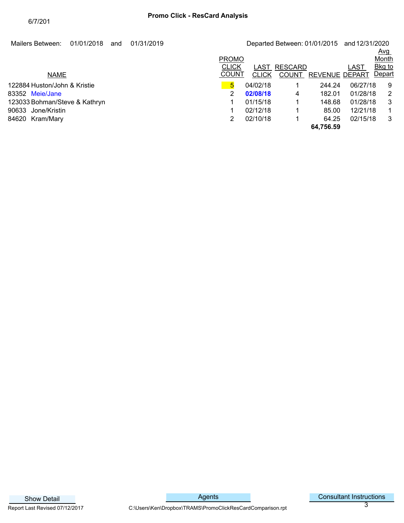# **Promo Click - ResCard Analysis**

| Mailers Between:              | 01/01/2018  | and | 01/31/2019 |              | Departed Between: 01/01/2015 | and 12/31/2020 |                       |          |            |
|-------------------------------|-------------|-----|------------|--------------|------------------------------|----------------|-----------------------|----------|------------|
|                               |             |     |            |              |                              |                |                       |          | <u>Avg</u> |
|                               |             |     |            | <b>PROMO</b> |                              |                |                       |          | Month      |
|                               |             |     |            | <b>CLICK</b> |                              | LAST RESCARD   |                       | LAST     | Bkg to     |
|                               | <b>NAME</b> |     |            | <b>COUNT</b> | <b>CLICK</b>                 | <b>COUNT</b>   | <b>REVENUE DEPART</b> |          | Depart     |
| 122884 Huston/John & Kristie  |             |     |            | 5            | 04/02/18                     |                | 244.24                | 06/27/18 | -9         |
| 83352 Meie/Jane               |             |     |            | 2            | 02/08/18                     | 4              | 182.01                | 01/28/18 | 2          |
| 123033 Bohman/Steve & Kathryn |             |     |            |              | 01/15/18                     |                | 148.68                | 01/28/18 | 3          |
| 90633 Jone/Kristin            |             |     |            |              | 02/12/18                     |                | 85.00                 | 12/21/18 | 1          |
| 84620<br>Kram/Mary            |             |     |            | 2            | 02/10/18                     |                | 64.25                 | 02/15/18 | 3          |
|                               |             |     |            |              |                              |                | 64,756.59             |          |            |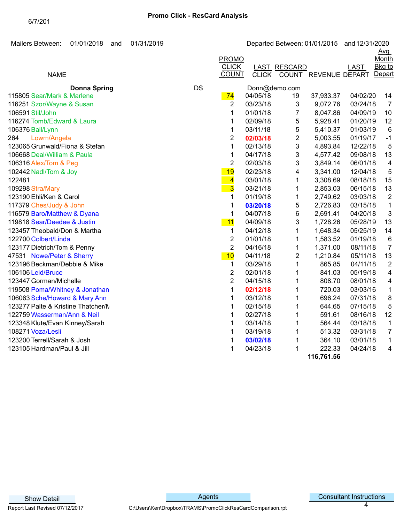| Mailers Between:                   | 01/01/2018          | and | 01/31/2019 |           |                         |               |                     | Departed Between: 01/01/2015 and 12/31/2020                                                |             |                         |
|------------------------------------|---------------------|-----|------------|-----------|-------------------------|---------------|---------------------|--------------------------------------------------------------------------------------------|-------------|-------------------------|
|                                    |                     |     |            |           |                         |               |                     |                                                                                            |             | <u>Avg</u>              |
|                                    |                     |     |            |           | <b>PROMO</b>            |               |                     |                                                                                            |             | Month                   |
|                                    |                     |     |            |           | <b>CLICK</b>            |               | <b>LAST RESCARD</b> |                                                                                            | <b>LAST</b> | Bkg to                  |
| <b>NAME</b>                        |                     |     |            |           | <b>COUNT</b>            | <b>CLICK</b>  |                     | COUNT REVENUE DEPART                                                                       |             | Depart                  |
|                                    | <b>Donna Spring</b> |     |            | <b>DS</b> |                         | Donn@demo.com |                     |                                                                                            |             |                         |
| 115805 Sear/Mark & Marlene         |                     |     |            |           | 74                      | 04/05/18      | 19                  | 37,933.37                                                                                  | 04/02/20    | 14                      |
| 116251 Szor/Wayne & Susan          |                     |     |            |           | 2                       | 03/23/18      | $\mathsf 3$         | 9,072.76                                                                                   | 03/24/18    | $\overline{7}$          |
| 106591 Stil/John                   |                     |     |            |           | 1                       | 01/01/18      | $\overline{7}$      | 8,047.86                                                                                   | 04/09/19    | 10                      |
| 116274 Tomb/Edward & Laura         |                     |     |            |           | 1                       | 02/09/18      | 5                   | 5,928.41                                                                                   | 01/20/19    | 12                      |
| 106376 Bail/Lynn                   |                     |     |            |           | 1                       | 03/11/18      | 5                   | 5,410.37                                                                                   | 01/03/19    | 6                       |
| Lowm/Angela<br>264                 |                     |     |            |           | $\overline{2}$          | 02/03/18      | $\overline{c}$      | 5,003.55                                                                                   | 01/19/17    | $-1$                    |
| 123065 Grunwald/Fiona & Stefan     |                     |     |            |           | 1                       | 02/13/18      | 3                   | 4,893.84                                                                                   | 12/22/18    | 5                       |
| 106668 Deal/William & Paula        |                     |     |            |           | 1                       | 04/17/18      | 3                   | 4,577.42                                                                                   | 09/08/18    | 13                      |
| 106316 Alex/Tom & Peg              |                     |     |            |           | $\overline{2}$          | 02/03/18      | 3                   | 3,849.14                                                                                   | 06/01/18    | 4                       |
| 102442 Nadl/Tom & Joy              |                     |     |            |           | 19                      | 02/23/18      | 4                   | 3,341.00                                                                                   | 12/04/18    | 5                       |
| 122481                             |                     |     |            |           | $\overline{4}$          | 03/01/18      | 1                   | 3,308.69                                                                                   | 08/18/18    | 15                      |
| 109298 Stra/Mary                   |                     |     |            |           | $\overline{\mathbf{3}}$ | 03/21/18      | 1                   | 2,853.03                                                                                   | 06/15/18    | 13                      |
| 123190 Ehli/Ken & Carol            |                     |     |            |           | 1                       | 01/19/18      | $\mathbf 1$         | 2,749.62                                                                                   | 03/03/18    | $\overline{2}$          |
| 117379 Ches/Judy & John            |                     |     |            |           | 1                       | 03/20/18      | 5                   | 2,726.83                                                                                   | 03/15/18    | $\mathbf{1}$            |
| 116579 Baro/Matthew & Dyana        |                     |     |            |           | 1                       | 04/07/18      | 6                   | 2,691.41                                                                                   | 04/20/18    | 3                       |
| 119818 Sear/Deedee & Justin        |                     |     |            |           | 11                      | 04/09/18      | 3                   | 1,728.26                                                                                   | 05/28/19    | 13                      |
| 123457 Theobald/Don & Martha       |                     |     |            |           | 1                       | 04/12/18      | $\mathbf 1$         | 1,648.34                                                                                   | 05/25/19    | 14                      |
| 122700 Colbert/Linda               |                     |     |            |           | $\overline{2}$          | 01/01/18      | $\mathbf 1$         | 1,583.52                                                                                   | 01/19/18    | 6                       |
| 123177 Dietrich/Tom & Penny        |                     |     |            |           | $\overline{2}$          | 04/16/18      | $\mathbf 1$         | 1,371.00                                                                                   | 08/11/18    | $\overline{7}$          |
| 47531 Nowe/Peter & Sherry          |                     |     |            |           | 10                      | 04/11/18      | $\mathbf 2$         | 1,210.84                                                                                   | 05/11/18    | 13                      |
| 123196 Beckman/Debbie & Mike       |                     |     |            |           | 1                       | 03/29/18      | $\mathbf 1$         | 865.85                                                                                     | 04/11/18    | $\overline{c}$          |
| 106106 Leid/Bruce                  |                     |     |            |           | $\overline{2}$          | 02/01/18      | 1                   | 841.03                                                                                     | 05/19/18    | $\overline{\mathbf{4}}$ |
| 123447 Gorman/Michelle             |                     |     |            |           | $\overline{2}$          | 04/15/18      | $\mathbf{1}$        | 808.70                                                                                     | 08/01/18    | 4                       |
| 119508 Poma/Whitney & Jonathan     |                     |     |            |           | $\mathbf{1}$            | 02/12/18      | $\mathbf{1}$        | 720.03                                                                                     | 03/03/16    | 1                       |
| 106063 Sche/Howard & Mary Ann      |                     |     |            |           | 1                       | 03/12/18      | $\mathbf{1}$        | 696.24                                                                                     | 07/31/18    | 8                       |
| 123277 Palte & Kristine Thatcher/M |                     |     |            |           | 1                       | 02/15/18      | 1                   | 644.65                                                                                     | 07/15/18    | 5                       |
| 122759 Wasserman/Ann & Neil        |                     |     |            |           | 1                       | 02/27/18      | $\mathbf 1$         | 591.61                                                                                     | 08/16/18    | 12                      |
| 123348 Klute/Evan Kinney/Sarah     |                     |     |            |           | 1                       | 03/14/18      | $\mathbf 1$         | 564.44                                                                                     | 03/18/18    | $\mathbf{1}$            |
| 108271 Voza/Lesli                  |                     |     |            |           | 1                       | 03/19/18      | $\mathbf 1$         | 513.32                                                                                     | 03/31/18    | $\overline{7}$          |
| 123200 Terrell/Sarah & Josh        |                     |     |            |           | 1                       | 03/02/18      | $\mathbf 1$         | 364.10                                                                                     | 03/01/18    | $\mathbf{1}$            |
| 123105 Hardman/Paul & Jill         |                     |     |            |           | 1                       | 04/23/18      | 1                   | 222.33                                                                                     | 04/24/18    | 4                       |
|                                    |                     |     |            |           |                         |               |                     | $\overline{A}$ and $\overline{B}$ and $\overline{B}$ and $\overline{B}$ and $\overline{B}$ |             |                         |

**116,761.56**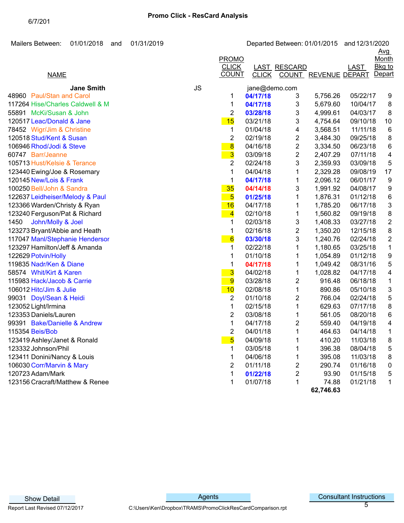| Mailers Between: | 01/01/2018 and | 01/31/2019 |
|------------------|----------------|------------|
|                  |                |            |

48960 Paul/Stan and Carol 117264 Hise/Charles Caldwell & M

55891 McKi/Susan & John 120517 Leac/Donald & Jane 78452 Wigr/Jim & Christine 120518 Stud/Kent & Susan 106946 Rhod/Jodi & Steve 60747 Barr/Jeanne

105713 Hust/Kelsie & Terance 123440 Ewing/Joe & Rosemary 120145 New/Lois & Frank 100250 Bell/John & Sandra 122637 Leidheiser/Melody & Paul 123366 Warden/Christy & Ryan 123240 Ferguson/Pat & Richard 1450 John/Molly & Joel 123273 Bryant/Abbie and Heath 117047 Manl/Stephanie Hendersor 123297 Hamilton/Jeff & Amanda

122629 Potvin/Holly 119835 Nadr/Ken & Diane 58574 Whit/Kirt & Karen 115983 Hack/Jacob & Carrie 106012 Hitc/Jim & Julie 99031 Doyl/Sean & Heidi 123052 Light/Irmina 123353 Daniels/Lauren

115354 Beis/Bob

123332 Johnson/Phil

120723 Adam/Mark

99391 Bake/Danielle & Andrew

123419 Ashley/Janet & Ronald

123411 Donini/Nancy & Louis 106030 Corr/Marvin & Mary

123156 Cracraft/Matthew & Renee

Mailers Between: 01/01/2018 and 01/31/2019 Departed Between: 01/01/2015 and12/31/2020

| reen.<br><b>UI/UI/ZUIO</b><br>anu<br>01/21/2019 |           |                              |               |                | Departed Between. 01/01/2015 and 12/31/2020 |             |                           |
|-------------------------------------------------|-----------|------------------------------|---------------|----------------|---------------------------------------------|-------------|---------------------------|
|                                                 |           |                              |               |                |                                             |             | <u>Avg</u>                |
|                                                 |           | <b>PROMO</b>                 |               |                |                                             |             | <b>Month</b>              |
| <b>NAME</b>                                     |           | <b>CLICK</b><br><b>COUNT</b> | <b>CLICK</b>  | LAST RESCARD   | COUNT REVENUE DEPART                        | <b>LAST</b> | Bkg to<br>Depart          |
|                                                 |           |                              |               |                |                                             |             |                           |
| <b>Jane Smith</b>                               | <b>JS</b> |                              | jane@demo.com |                |                                             |             |                           |
| <b>Stan and Carol</b>                           |           | 1                            | 04/17/18      | 3              | 5,756.26                                    | 05/22/17    | 9                         |
| <b>Charles Caldwell &amp; M</b>                 |           | 1                            | 04/17/18      | 3              | 5,679.60                                    | 10/04/17    | 8                         |
| Susan & John                                    |           | $\overline{2}$               | 03/28/18      | 3              | 4,999.61                                    | 04/03/17    | 8                         |
| Donald & Jane                                   |           | 15                           | 03/21/18      | 3              | 4,754.64                                    | 09/10/18    | 10                        |
| Jim & Christine                                 |           | 1                            | 01/04/18      | 4              | 3,568.51                                    | 11/11/18    | 6                         |
| Kent & Susan                                    |           | $\boldsymbol{2}$             | 02/19/18      | $\overline{2}$ | 3,484.30                                    | 09/25/18    | 8                         |
| Jodi & Steve                                    |           | $\overline{\mathbf{8}}$      | 04/16/18      | $\overline{2}$ | 3,334.50                                    | 06/23/18    | 6                         |
| leanne                                          |           | $\overline{\mathbf{3}}$      | 03/09/18      | $\overline{2}$ | 2,407.29                                    | 07/11/18    | 4                         |
| Kelsie & Terance                                |           | $\overline{2}$               | 02/24/18      | 3              | 2,359.93                                    | 03/09/18    | 5                         |
| y/Joe & Rosemary                                |           | 1                            | 04/04/18      | 1              | 2,329.28                                    | 09/08/19    | 17                        |
| ois & Frank                                     |           | 1                            | 04/17/18      | 1              | 2,096.12                                    | 06/01/17    | 9                         |
| ohn & Sandra                                    |           | 35                           | 04/14/18      | 3              | 1,991.92                                    | 04/08/17    | 9                         |
| eiser/Melody & Paul                             |           | $\overline{\mathbf{5}}$      | 01/25/18      | 1              | 1,876.31                                    | 01/12/18    | 6                         |
| en/Christy & Ryan                               |           | 16                           | 04/17/18      | 1              | 1,785.20                                    | 06/17/18    | $\mathsf 3$               |
| son/Pat & Richard                               |           | $\overline{4}$               | 02/10/18      | 1              | 1,560.82                                    | 09/19/18    | 8                         |
| Molly & Joel                                    |           | $\mathbf 1$                  | 02/03/18      | 3              | 1,408.33                                    | 03/27/18    | $\boldsymbol{2}$          |
| t/Abbie and Heath                               |           | 1                            | 02/16/18      | $\overline{2}$ | 1,350.20                                    | 12/15/18    | $\bf 8$                   |
| <b>Stephanie Hendersor</b>                      |           | $6\overline{6}$              | 03/30/18      | 3              | 1,240.76                                    | 02/24/18    | $\mathbf{2}$              |
| ton/Jeff & Amanda                               |           | 1                            | 02/22/18      | 1              | 1,180.65                                    | 03/25/18    | 1                         |
| <b>Holly</b>                                    |           | 1                            | 01/10/18      | 1              | 1,054.89                                    | 01/12/18    | 9                         |
| <b>Ken &amp; Diane</b>                          |           | 1                            | 04/17/18      | 1              | 1,049.42                                    | 08/31/16    | $\sqrt{5}$                |
| <b>Kirt &amp; Karen</b>                         |           | $\overline{\mathbf{3}}$      | 04/02/18      | 1              | 1,028.82                                    | 04/17/18    | $\overline{\mathcal{A}}$  |
| Jacob & Carrie                                  |           | 9                            | 03/28/18      | $\overline{c}$ | 916.48                                      | 06/18/18    | 1                         |
| im & Julie                                      |           | 10                           | 02/08/18      | 1              | 890.86                                      | 05/10/18    | $\ensuremath{\mathsf{3}}$ |
| Sean & Heidi                                    |           | $\overline{2}$               | 01/10/18      | $\overline{c}$ | 766.04                                      | 02/24/18    | $\mathbf 5$               |
| Irmina                                          |           | 1                            | 02/15/18      | 1              | 629.63                                      | 07/17/18    | $\bf 8$                   |
| <b>Is/Lauren</b>                                |           | $\overline{2}$               | 03/08/18      | 1              | 561.05                                      | 08/20/18    | 6                         |
| Danielle & Andrew                               |           | 1                            | 04/17/18      | 2              | 559.40                                      | 04/19/18    | 4                         |
| <b>Bob</b>                                      |           | $\overline{c}$               | 04/01/18      | 1              | 464.63                                      | 04/14/18    | 1                         |
| y/Janet & Ronald                                |           | $\overline{\mathbf{5}}$      | 04/09/18      | 1              | 410.20                                      | 11/03/18    | 8                         |
| son/Phil                                        |           | 1                            | 03/05/18      | 1              | 396.38                                      | 08/04/18    | $\sqrt{5}$                |
| ii/Nancy & Louis                                |           | 1                            | 04/06/18      | 1              | 395.08                                      | 11/03/18    | 8                         |
| Marvin & Mary                                   |           | 2                            | 01/11/18      | $\overline{c}$ | 290.74                                      | 01/16/18    | $\pmb{0}$                 |
| /Mark                                           |           | 1                            | 01/22/18      | $\overline{2}$ | 93.90                                       | 01/15/18    | $\sqrt{5}$                |
| aft/Matthew & Renee                             |           | 1                            | 01/07/18      | 1              | 74.88                                       | 01/21/18    | 1                         |
|                                                 |           |                              |               |                | 62,746.63                                   |             |                           |
|                                                 |           |                              |               |                |                                             |             |                           |

| <b>Show Detail</b>             |  |
|--------------------------------|--|
| Report Last Revised 07/12/2017 |  |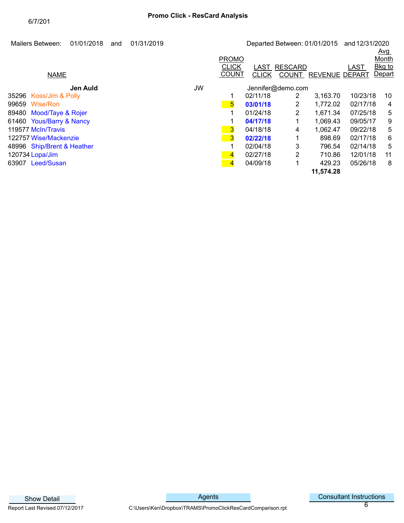| Mailers Between: |  |  | 01/01/2018 and 01/31/2019 |
|------------------|--|--|---------------------------|
|------------------|--|--|---------------------------|

35296 Koss/Jim & Polly

99659 Wise/Ron

120734 Lopa/Jim 63907 Leed/Susan

| Mailers Between:          | 01/01/2018 | and | 01/31/2019 |    |                                              |                      |                                | Departed Between: 01/01/2015 | and 12/31/2020 | <u>Avg</u>                |
|---------------------------|------------|-----|------------|----|----------------------------------------------|----------------------|--------------------------------|------------------------------|----------------|---------------------------|
| <b>NAME</b>               |            |     |            |    | <b>PROMO</b><br><b>CLICK</b><br><b>COUNT</b> | LAST<br><b>CLICK</b> | <b>RESCARD</b><br><b>COUNT</b> | <b>REVENUE DEPART</b>        | LAST           | Month<br>Bkg to<br>Depart |
|                           | Jen Auld   |     |            | JW |                                              |                      | Jennifer@demo.com              |                              |                |                           |
| 5296 Koss/Jim & Polly     |            |     |            |    |                                              | 02/11/18             | 2                              | 3,163.70                     | 10/23/18       | 10                        |
| Wise/Ron<br>9659          |            |     |            |    | $\sqrt{5}$                                   | 03/01/18             | 2                              | 1,772.02                     | 02/17/18       | 4                         |
| 9480 Mood/Taye & Rojer    |            |     |            |    |                                              | 01/24/18             | 2                              | 1,671.34                     | 07/25/18       | 5                         |
| 1460 Yous/Barry & Nancy   |            |     |            |    |                                              | 04/17/18             | 1                              | 1,069.43                     | 09/05/17       | 9                         |
| 19577 McIn/Travis         |            |     |            |    | $\overline{\mathbf{3}}$                      | 04/18/18             | 4                              | 1,062.47                     | 09/22/18       | 5                         |
| 22757 Wise/Mackenzie      |            |     |            |    | $\overline{\mathbf{3}}$                      | 02/22/18             | 1                              | 898.69                       | 02/17/18       | 6                         |
| 8996 Ship/Brent & Heather |            |     |            |    |                                              | 02/04/18             | 3                              | 796.54                       | 02/14/18       | 5                         |
| 20734 Lopa/Jim            |            |     |            |    | $\overline{4}$                               | 02/27/18             | 2                              | 710.86                       | 12/01/18       | 11                        |
| 3907 Leed/Susan           |            |     |            |    | $\overline{4}$                               | 04/09/18             |                                | 429.23                       | 05/26/18       | 8                         |
|                           |            |     |            |    |                                              |                      |                                | 11,574.28                    |                |                           |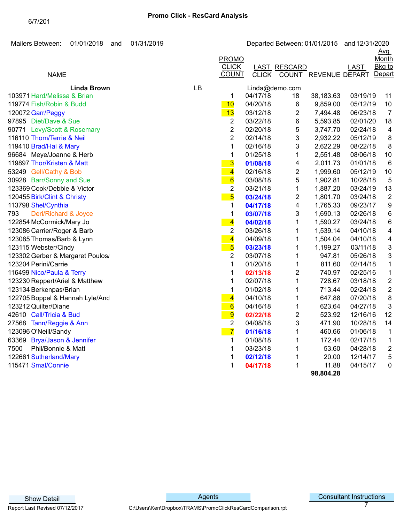| Mailers Between: 01/01/2018 and 01/31/2019 |  |  |
|--------------------------------------------|--|--|
|                                            |  |  |

|                             |    | <b>PROMO</b>            |              |                         |                      |          | Avg<br>Month            |
|-----------------------------|----|-------------------------|--------------|-------------------------|----------------------|----------|-------------------------|
|                             |    | <b>CLICK</b>            |              | <b>LAST RESCARD</b>     |                      | LAST     | Bkg to                  |
| <b>NAME</b>                 |    | <b>COUNT</b>            | <b>CLICK</b> |                         | COUNT REVENUE DEPART |          | Depart                  |
|                             |    |                         |              |                         |                      |          |                         |
| <b>Linda Brown</b>          | LB |                         |              | Linda@demo.com          |                      |          |                         |
| Melissa & Brian             |    | $\mathbf{1}$            | 04/17/18     | 18                      | 38,183.63            | 03/19/19 | 11                      |
| <b>Robin &amp; Budd</b>     |    | 10                      | 04/20/18     | 6                       | 9,859.00             | 05/12/19 | 10                      |
| Peggy                       |    | 13                      | 03/12/18     | $\overline{2}$          | 7,494.48             | 06/23/18 | $\overline{7}$          |
| ave & Sue                   |    | $\overline{2}$          | 03/22/18     | $\,6$                   | 5,593.85             | 02/01/20 | 18                      |
| <b>Scott &amp; Rosemary</b> |    | $\overline{2}$          | 02/20/18     | $\sqrt{5}$              | 3,747.70             | 02/24/18 | $\overline{\mathbf{4}}$ |
| <b>Terrie &amp; Neil</b>    |    | $\overline{2}$          | 02/14/18     | $\mathfrak{S}$          | 2,932.22             | 05/12/19 | $\,8\,$                 |
| Hal & Mary                  |    | $\mathbf{1}$            | 02/16/18     | $\mathfrak{S}$          | 2,622.29             | 08/22/18 | $\bf 8$                 |
| Joanne & Herb               |    | $\mathbf{1}$            | 01/25/18     | $\mathbf 1$             | 2,551.48             | 08/06/18 | 10                      |
| Kristen & Matt              |    | $\overline{3}$          | 01/08/18     | $\overline{\mathbf{4}}$ | 2,011.73             | 01/01/18 | $\,6$                   |
| Cathy & Bob                 |    | $\overline{4}$          | 02/16/18     | $\overline{2}$          | 1,999.60             | 05/12/19 | 10                      |
| <b>Sonny and Sue</b>        |    | $6\overline{6}$         | 03/08/18     | $\sqrt{5}$              | 1,902.81             | 10/28/18 | 5                       |
| Debbie & Victor             |    | $\overline{2}$          | 03/21/18     | $\mathbf{1}$            | 1,887.20             | 03/24/19 | 13                      |
| <b>Clint &amp; Christy</b>  |    | $\overline{\mathbf{5}}$ | 03/24/18     | $\overline{2}$          | 1,801.70             | 03/24/18 | $\boldsymbol{2}$        |
| Cynthia                     |    | $\mathbf{1}$            | 04/17/18     | 4                       | 1,765.33             | 09/23/17 | 9                       |
| Richard & Joyce             |    | $\mathbf{1}$            | 03/07/18     | $\mathfrak{B}$          | 1,690.13             | 02/26/18 | 6                       |
| rmick/Mary Jo               |    | $\overline{\mathbf{4}}$ | 04/02/18     | 1                       | 1,590.27             | 03/24/18 | 6                       |
| er/Roger & Barb             |    | $\overline{2}$          | 03/26/18     | 1                       | 1,539.14             | 04/10/18 | 4                       |
| as/Barb & Lynn              |    | $\overline{4}$          | 04/09/18     | 1                       | 1,504.04             | 04/10/18 | 4                       |
| ter/Cindy                   |    | $\overline{\mathbf{5}}$ | 03/23/18     | 1                       | 1,199.27             | 03/11/18 | 3                       |
| er & Margaret Poulos/       |    | $\overline{2}$          | 03/07/18     | 1                       | 947.81               | 05/26/18 | 3                       |
| /Carrie                     |    | $\mathbf{1}$            | 01/20/18     | $\mathbf 1$             | 811.60               | 02/14/18 | $\mathbf 1$             |
| Paula & Terry               |    | $\mathbf{1}$            | 02/13/18     | $\overline{2}$          | 740.97               | 02/25/16 | $\mathbf 1$             |
| ert/Ariel & Matthew         |    | 1                       | 02/07/18     | $\mathbf{1}$            | 728.67               | 03/18/18 | $\overline{2}$          |
| npas/Brian                  |    | $\mathbf 1$             | 01/02/18     | 1                       | 713.44               | 02/24/18 | $\overline{2}$          |
| el & Hannah Lyle/And        |    | $\overline{4}$          | 04/10/18     | 1                       | 647.88               | 07/20/18 | $\bf 8$                 |
| r/Diane                     |    | $6\overline{6}$         | 04/16/18     | 1                       | 623.64               | 04/27/18 | $\mathfrak{B}$          |
| ricia & Bud                 |    | $\overline{9}$          | 02/22/18     | $\boldsymbol{2}$        | 523.92               | 12/16/16 | 12                      |
| Reggie & Ann                |    | $\overline{2}$          | 04/08/18     | 3                       | 471.90               | 10/28/18 | 14                      |
| II/Sandy                    |    | $\overline{7}$          | 01/16/18     | 1                       | 460.66               | 01/06/18 | $\mathbf{1}$            |
| Jason & Jennifer            |    | $\mathbf{1}$            | 01/08/18     | 1                       | 172.44               | 02/17/18 | $\mathbf{1}$            |
| onnie & Matt                |    | $\mathbf{1}$            | 03/23/18     | 1                       | 53.60                | 04/28/18 | $\boldsymbol{2}$        |
| rland/Mary                  |    | $\mathbf 1$             | 02/12/18     | 1                       | 20.00                | 12/14/17 | $\mathbf 5$             |
| <b>Connie</b>               |    | $\mathbf{1}$            | 04/17/18     | 1                       | 11.88                | 04/15/17 | 0                       |
|                             |    |                         |              |                         | 98,804.28            |          |                         |
|                             |    |                         |              |                         |                      |          |                         |

Departed Between: 01/01/2015 and 12/31/2020

103971 Hard/Melissa & Brian 119774 Fish/Robin & Budd

90771 Levy/Scott & Rosemary 116110 Thom/Terrie & Neil 119410 Brad/Hal & Mary 96684 Meye/Joanne & Herb 119897 Thor/Kristen & Matt 53249 Gell/Cathy & Bob 30928 Barr/Sonny and Sue 123369 Cook/Debbie & Victor 120455 Birk/Clint & Christy 113798 Shel/Cynthia

793 Deri/Richard & Joyce 122854 McCormick/Mary Jo 123086 Carrier/Roger & Barb 123085 Thomas/Barb & Lynn 123115 Webster/Cindy

123204 Perini/Carrie 116499 Nico/Paula & Terry 123230 Reppert/Ariel & Matthew

123134 Berkenpas/Brian

123212 Quilter/Diane 42610 Call/Tricia & Bud 27568 Tann/Reggie & Ann 123096 O'Neill/Sandy

123302 Gerber & Margaret Poulos/

122705 Boppel & Hannah Lyle/And

63369 Brya/Jason & Jennifer 7500 Phil/Bonnie & Matt 122661 Sutherland/Mary 115471 Smal/Connie

120072 Garr/Peggy 97895 Diet/Dave & Sue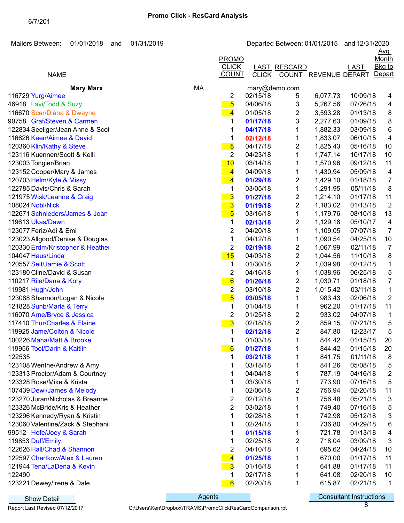### Mailers Between: 01/01/2018 and 01/31/2019 Departed Between: 01/01/2015 and12/31/2020

Avg

|                                   |        | <b>PROMO</b>            |               |                         |                      |                                | <b>Month</b>     |
|-----------------------------------|--------|-------------------------|---------------|-------------------------|----------------------|--------------------------------|------------------|
|                                   |        | <b>CLICK</b>            |               | LAST RESCARD            |                      | LAST                           | Bkg to           |
| <b>NAME</b>                       |        | <b>COUNT</b>            | <b>CLICK</b>  |                         | COUNT REVENUE DEPART |                                | Depart           |
| <b>Mary Marx</b>                  | MA     |                         | mary@demo.com |                         |                      |                                |                  |
| 116729 Yurg/Aimee                 |        | 2                       | 02/15/18      | 5                       | 6,077.73             | 10/09/18                       | 4                |
| 46918 Lavi/Todd & Suzy            |        | $\overline{\mathbf{5}}$ | 04/06/18      | 3                       | 5,267.56             | 07/26/18                       | 4                |
| 116670 Scar/Diana & Dwayne        |        | $\overline{4}$          | 01/05/18      | 2                       | 3,593.28             | 01/13/18                       | 8                |
| 90758 Graf/Steven & Carmen        |        | 1                       | 01/17/18      | 3                       | 2,277.63             | 01/09/18                       | 8                |
| 122834 Seeliger/Jean Anne & Scot  |        | 1                       | 04/17/18      | 1                       | 1,882.33             | 03/09/18                       | 6                |
| 116626 Keen/Aimee & David         |        | 1                       | 02/12/18      | 1                       | 1,833.07             | 06/10/15                       | 4                |
| 120360 Klin/Kathy & Steve         |        | $\overline{\mathbf{8}}$ | 04/17/18      | 2                       | 1,825.43             | 05/16/18                       | 10               |
| 123116 Kuennen/Scott & Kelli      |        | $\overline{c}$          | 04/23/18      | 1                       | 1,747.14             | 10/17/18                       | 10               |
| 123003 Tongier/Brian              |        | 10                      | 03/14/18      | 1                       | 1,570.96             | 09/12/18                       | 11               |
| 123152 Cooper/Mary & James        |        | $\overline{4}$          | 04/09/18      | 1                       | 1,430.94             | 05/09/18                       | 4                |
| 120703 Helm/Kyle & Missy          |        | $\overline{4}$          | 01/29/18      | 2                       | 1,429.10             | 01/18/18                       | 7                |
| 122785 Davis/Chris & Sarah        |        | 1                       | 03/05/18      | $\mathbf{1}$            | 1,291.95             | 05/11/18                       | 8                |
| 121975 Wisk/Leanne & Craig        |        | $\overline{\mathbf{3}}$ | 01/27/18      | $\overline{2}$          | 1,214.10             | 01/17/18                       | 11               |
| 108024 Nobl/Nick                  |        | $\overline{\mathbf{3}}$ | 01/19/18      | $\overline{2}$          | 1,183.02             | 01/13/18                       | $\overline{c}$   |
| 122671 Schnieders/James & Joan    |        | $\overline{\mathbf{5}}$ | 03/16/18      | 1                       | 1,179.76             | 08/10/18                       | 13               |
| 119613 Ukas/Dawn                  |        | 1                       | 02/13/18      | 2                       | 1,129.18             | 05/10/17                       | 4                |
| 123077 Feriz/Adi & Emi            |        | $\overline{c}$          | 04/20/18      | 1                       | 1,109.05             | 07/07/18                       | $\boldsymbol{7}$ |
| 123023 Allgood/Denise & Douglas   |        | 1                       | 04/12/18      | 1                       | 1,090.54             | 04/25/18                       | 10               |
| 120330 Erdm/Kristopher & Heather  |        | $\overline{c}$          | 02/19/18      | 2                       | 1,067.99             | 02/11/18                       | $\overline{7}$   |
| 104047 Haus/Linda                 |        | 15                      | 04/03/18      | $\overline{\mathbf{c}}$ | 1,044.56             | 11/10/18                       | 8                |
| 120557 Seit/Jamie & Scott         |        | 1                       | 01/30/18      | 2                       | 1,039.98             | 02/12/18                       | $\mathbf 1$      |
| 123180 Cline/David & Susan        |        | $\overline{\mathbf{c}}$ | 04/16/18      | 1                       | 1,038.96             | 06/25/18                       | 5                |
| 110217 Rile/Dana & Kory           |        | $6\phantom{1}6$         | 01/26/18      | 2                       | 1,030.71             | 01/18/18                       | 7                |
| 119981 Hugh/John                  |        | $\overline{\mathbf{c}}$ | 03/10/18      | 2                       | 1,015.42             | 03/11/18                       | $\mathbf 1$      |
| 123088 Shannon/Logan & Nicole     |        | $\overline{\mathbf{5}}$ | 03/05/18      | 1                       | 983.43               | 02/06/18                       | $\boldsymbol{2}$ |
| 121828 Sunb/Marla & Terry         |        | 1                       | 01/04/18      | 1                       | 962.20               | 01/17/18                       | 11               |
| 116070 Arne/Bryce & Jessica       |        | $\overline{\mathbf{c}}$ | 01/25/18      | 2                       | 933.02               | 04/07/18                       | $\mathbf 1$      |
| 117410 Thur/Charles & Elaine      |        | $\overline{3}$          | 02/18/18      | $\overline{\mathbf{c}}$ | 859.15               | 07/21/18                       | 5                |
| 119925 Jame/Colton & Nicole       |        | 1                       | 02/12/18      | $\overline{2}$          | 847.80               | 12/23/17                       | 5                |
| 100226 Maha/Matt & Brooke         |        | 1                       | 01/03/18      | 1                       | 844.42               | 01/15/18                       | 20               |
| 119956 Tool/Darin & Kaitlin       |        | $6\phantom{1}6$         | 01/27/18      | 1                       | 844.42               | 01/15/18                       | 20               |
| 122535                            |        | 1                       | 03/21/18      | 1                       | 841.75               | 01/11/18                       | 8                |
| 123108 Wenthe/Andrew & Amy        |        | 1                       | 03/18/18      |                         | 841.26               | 05/08/18                       | 5                |
| 123313 Proctor/Adam & Courtney    |        | 1                       | 04/04/18      | 1                       | 787.19               | 04/16/18                       | 2                |
| 123328 Rose/Mike & Krista         |        | 1                       | 03/30/18      | 1                       | 773.90               | 07/16/18                       | 5                |
| 107439 Dewi/James & Melody        |        | 1                       | 02/06/18      | 2                       | 756.94               | 02/20/18                       | 11               |
| 123270 Juran/Nicholas & Breanne   |        | $\overline{c}$          | 02/12/18      | 1                       | 756.48               | 05/21/18                       | 3                |
| 123326 McBride/Kris & Heather     |        | 2                       | 03/02/18      | 1                       | 749.40               | 07/16/18                       | 5                |
| 123296 Kennedy/Ryan & Kristin     |        | 1                       | 02/28/18      | 1                       | 742.98               | 05/12/18                       | 3                |
| 123060 Valentine/Zack & Stephanio |        | 1                       | 02/24/18      | 1                       | 736.80               | 04/29/18                       | 6                |
| 99512 Hofe/Joey & Sarah           |        | 1                       | 01/15/18      | 1                       | 721.78               | 01/13/18                       | 4                |
| 119853 Duff/Emily                 |        | 1                       | 02/25/18      | 2                       | 718.04               | 03/09/18                       | 3                |
| 122626 Hall/Chad & Shannon        |        | $\overline{\mathbf{c}}$ | 04/10/18      | 1                       | 695.62               | 04/24/18                       | 10               |
| 122597 Chertkow/Alex & Lauren     |        | $\overline{\mathbf{4}}$ | 01/25/18      | 1                       | 670.00               | 01/17/18                       | 11               |
| 121944 Tena/LaDena & Kevin        |        | $\overline{\mathbf{3}}$ | 01/16/18      | 1                       | 641.88               | 01/17/18                       | 11               |
| 122490                            |        | 1                       | 02/17/18      | 1                       | 641.08               | 02/20/18                       | 10               |
| 123221 Dewey/Irene & Dale         |        | $\overline{6}$          | 02/20/18      | 1                       | 615.87               | 02/21/18                       | $\mathbf 1$      |
|                                   |        |                         |               |                         |                      |                                |                  |
| <b>Show Detail</b>                | Agents |                         |               |                         |                      | <b>Consultant Instructions</b> |                  |

Report Last Revised 07/12/2017

8 C:\Users\Ken\Dropbox\TRAMS\PromoClickResCardComparison.rpt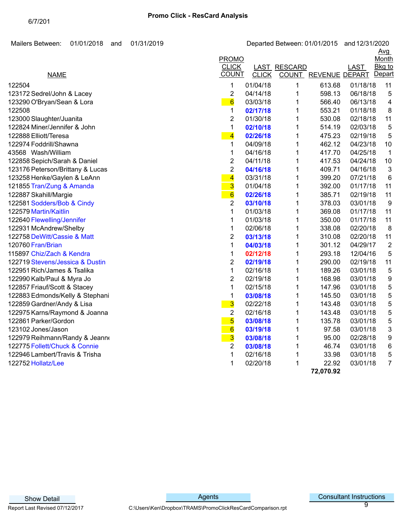| Mailers Between: 01/01/2018 and 01/31/2019 |  | Departed Between: 01/01/2015 and 12/31/2020 |  |
|--------------------------------------------|--|---------------------------------------------|--|
|                                            |  |                                             |  |

Avg

|                                  | <b>PROMO</b>            |              |              |                      |          | <b>Month</b>     |
|----------------------------------|-------------------------|--------------|--------------|----------------------|----------|------------------|
|                                  | <b>CLICK</b>            |              | LAST RESCARD |                      | LAST     | Bkg to           |
| <b>NAME</b>                      | <b>COUNT</b>            | <b>CLICK</b> |              | COUNT REVENUE DEPART |          | Depart           |
| 122504                           | $\mathbf{1}$            | 01/04/18     | 1            | 613.68               | 01/18/18 | 11               |
| 123172 Sedrel/John & Lacey       | $\overline{c}$          | 04/14/18     | 1            | 598.13               | 06/18/18 | 5                |
| 123290 O'Bryan/Sean & Lora       | $6\overline{6}$         | 03/03/18     | 1            | 566.40               | 06/13/18 | 4                |
| 122508                           | $\mathbf{1}$            | 02/17/18     | 1            | 553.21               | 01/18/18 | 8                |
| 123000 Slaughter/Juanita         | $\overline{c}$          | 01/30/18     | 1            | 530.08               | 02/18/18 | 11               |
| 122824 Miner/Jennifer & John     | $\mathbf{1}$            | 02/10/18     | 1            | 514.19               | 02/03/18 | $\mathbf 5$      |
| 122888 Elliott/Teresa            | $\overline{4}$          | 02/26/18     | 1            | 475.23               | 02/19/18 | $\mathbf 5$      |
| 122974 Foddrill/Shawna           | $\mathbf{1}$            | 04/09/18     | 1            | 462.12               | 04/23/18 | 10               |
| 43568 Wash/William               | 1                       | 04/16/18     | 1            | 417.70               | 04/25/18 | $\mathbf{1}$     |
| 122858 Sepich/Sarah & Daniel     | 2                       | 04/11/18     | 1            | 417.53               | 04/24/18 | 10               |
| 123176 Peterson/Brittany & Lucas | $\overline{c}$          | 04/16/18     | 1            | 409.71               | 04/16/18 | $\sqrt{3}$       |
| 123258 Henke/Gaylen & LeAnn      | $\overline{\mathbf{4}}$ | 03/31/18     | 1            | 399.20               | 07/21/18 | 6                |
| 121855 Tran/Zung & Amanda        | $\overline{\mathbf{3}}$ | 01/04/18     | 1            | 392.00               | 01/17/18 | 11               |
| 122887 Skahill/Margie            | $6\overline{6}$         | 02/26/18     | 1            | 385.71               | 02/19/18 | 11               |
| 122581 Sodders/Bob & Cindy       | $\overline{2}$          | 03/10/18     | 1            | 378.03               | 03/01/18 | 9                |
| 122579 Martin/Kaitlin            | 1                       | 01/03/18     | 1            | 369.08               | 01/17/18 | 11               |
| 122640 Flewelling/Jennifer       | 1                       | 01/03/18     | 1            | 350.00               | 01/17/18 | 11               |
| 122931 McAndrew/Shelby           | 1                       | 02/06/18     | 1            | 338.08               | 02/20/18 | 8                |
| 122758 DeWitt/Cassie & Matt      | $\overline{2}$          | 03/13/18     | $\mathbf 1$  | 310.08               | 02/20/18 | 11               |
| 120760 Fran/Brian                | 1                       | 04/03/18     | 1            | 301.12               | 04/29/17 | $\sqrt{2}$       |
| 115897 Chiz/Zach & Kendra        | 1                       | 02/12/18     | 1            | 293.18               | 12/04/16 | $\mathbf 5$      |
| 122719 Stevens/Jessica & Dustin  | $\overline{2}$          | 02/19/18     | 1            | 290.00               | 02/19/18 | 11               |
| 122951 Rich/James & Tsalika      | 1                       | 02/16/18     | 1            | 189.26               | 03/01/18 | $\mathbf 5$      |
| 122990 Kalb/Paul & Myra Jo       | $\overline{2}$          | 02/19/18     | $\mathbf 1$  | 168.98               | 03/01/18 | $\boldsymbol{9}$ |
| 122857 Friauf/Scott & Stacey     | $\mathbf{1}$            | 02/15/18     | 1            | 147.96               | 03/01/18 | $\mathbf 5$      |
| 122883 Edmonds/Kelly & Stephani  | $\mathbf{1}$            | 03/08/18     | 1            | 145.50               | 03/01/18 | $\mathbf 5$      |
| 122859 Gardner/Andy & Lisa       | $\overline{\mathbf{3}}$ | 02/22/18     | 1            | 143.48               | 03/01/18 | $\mathbf 5$      |
| 122975 Karns/Raymond & Joanna    | $\boldsymbol{2}$        | 02/16/18     | 1            | 143.48               | 03/01/18 | $\mathbf 5$      |
| 122861 Parker/Gordon             | $\overline{\mathbf{5}}$ | 03/08/18     | 1            | 135.78               | 03/01/18 | $\mathbf 5$      |
| 123102 Jones/Jason               | $6\overline{6}$         | 03/19/18     | 1            | 97.58                | 03/01/18 | $\mathbf 3$      |
| 122979 Reihmann/Randy & Jeann    | $\overline{3}$          | 03/08/18     | 1            | 95.00                | 02/28/18 | 9                |
| 122775 Follett/Chuck & Connie    | $\boldsymbol{2}$        | 03/08/18     | 1            | 46.74                | 03/01/18 | $\,6$            |
| 122946 Lambert/Travis & Trisha   | 1                       | 02/16/18     | 1            | 33.98                | 03/01/18 | $\mathbf 5$      |
| 122752 Hollatz/Lee               | 1                       | 02/20/18     | 1            | 22.92                | 03/01/18 | $\overline{7}$   |
|                                  |                         |              |              | 72,070.92            |          |                  |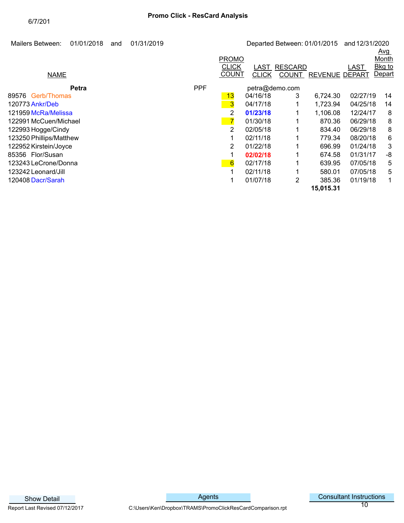89576 Gerb/Thomas 120773 Ankr/Deb 121959 McRa/Melissa 122991 McCuen/Michael 122993 Hogge/Cindy 123250 Phillips/Matthew 122952 Kirstein/Joyce 85356 Flor/Susan 1 **02/02/18** 1 674.58 01/31/17 -8 123243 LeCrone/Donna 123242 Leonard/Jill 120408 Dacr/Sarah

Departed Between: 01/01/2015 and 12/31/2020

| <u>UITUILUIU</u> | <b>unu</b><br><u>UITUITEUI U</u> |            |                |                |                | <b>DUDATION DUNNOUR: 0 170 1720 10 CARGINAL AND 1720 20</b> |          |                     |
|------------------|----------------------------------|------------|----------------|----------------|----------------|-------------------------------------------------------------|----------|---------------------|
|                  |                                  |            | <b>PROMO</b>   |                |                |                                                             |          | <u>Avg</u><br>Month |
|                  |                                  |            | <b>CLICK</b>   | LAST           | <b>RESCARD</b> |                                                             | LAST     | Bkg to              |
| <b>NAME</b>      |                                  |            | <b>COUNT</b>   | <b>CLICK</b>   | <b>COUNT</b>   | REVENUE DEPART                                              |          | Depart              |
| <b>Petra</b>     |                                  | <b>PPF</b> |                | petra@demo.com |                |                                                             |          |                     |
| <b>Thomas</b>    |                                  |            | 13             | 04/16/18       | 3              | 6,724.30                                                    | 02/27/19 | 14                  |
| Debl             |                                  |            | $\overline{3}$ | 04/17/18       |                | 1,723.94                                                    | 04/25/18 | 14                  |
| Melissal         |                                  |            | 2              | 01/23/18       |                | 1,106.08                                                    | 12/24/17 | 8                   |
| ien/Michael      |                                  |            | $\overline{7}$ | 01/30/18       | 1              | 870.36                                                      | 06/29/18 | 8                   |
| e/Cindy          |                                  |            | 2              | 02/05/18       | 1              | 834.40                                                      | 06/29/18 | 8                   |
| งs/Matthew       |                                  |            |                | 02/11/18       |                | 779.34                                                      | 08/20/18 | 6                   |
| in/Joyce         |                                  |            | 2              | 01/22/18       |                | 696.99                                                      | 01/24/18 | 3                   |
| ;usan            |                                  |            |                | 02/02/18       | 1              | 674.58                                                      | 01/31/17 | -8                  |
| งne/Donna        |                                  |            | $\overline{6}$ | 02/17/18       |                | 639.95                                                      | 07/05/18 | 5                   |
| ard/Jill         |                                  |            |                | 02/11/18       |                | 580.01                                                      | 07/05/18 | 5                   |
| Sarah            |                                  |            |                | 01/07/18       | 2              | 385.36                                                      | 01/19/18 | 1                   |
|                  |                                  |            |                |                |                | 15,015.31                                                   |          |                     |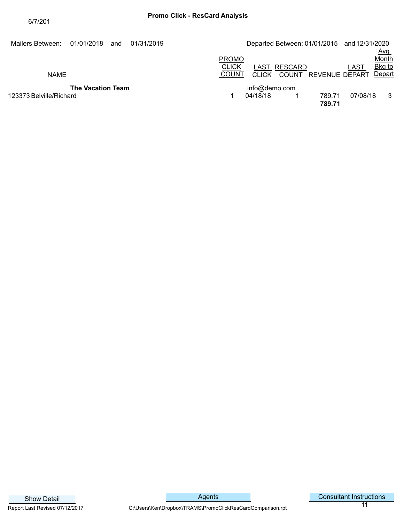| Mailers Between:        | 01/01/2018               | and | 01/31/2019 |                                       |                           |         | Departed Between: 01/01/2015 and 12/31/2020 |          |                                                |
|-------------------------|--------------------------|-----|------------|---------------------------------------|---------------------------|---------|---------------------------------------------|----------|------------------------------------------------|
| <b>NAME</b>             |                          |     |            | <b>PROMO</b><br><b>CLICK</b><br>COUNT | LAST<br><b>CLICK</b>      | RESCARD | COUNT REVENUE DEPART                        | LAST     | <u>Avg</u><br><b>Month</b><br>Bkg to<br>Depart |
| 123373 Belville/Richard | <b>The Vacation Team</b> |     |            |                                       | info@demo.com<br>04/18/18 |         | 789.71                                      | 07/08/18 | 3                                              |
|                         |                          |     |            |                                       |                           |         | 789.71                                      |          |                                                |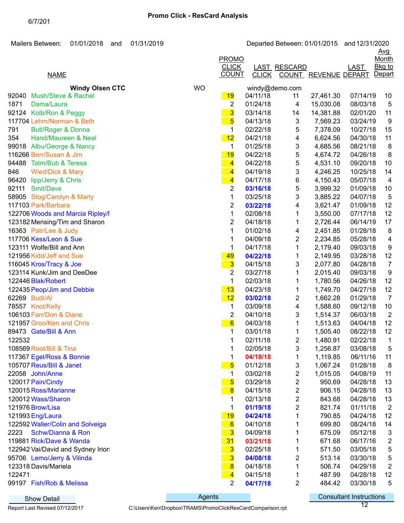Departed Between: 01/01/2015 and 12/31/2020

| Mailers Between: | 01/01/2018 | and | 01/31/2019 |
|------------------|------------|-----|------------|
|------------------|------------|-----|------------|

| <b>NAME</b>                             | <b>PROMO</b><br><b>CLICK</b><br><b>COUNT</b> | <b>CLICK</b> | LAST RESCARD            | COUNT REVENUE DEPART | LAST     | <u>Avg</u><br><b>Month</b><br>Bkg to<br>Depart |
|-----------------------------------------|----------------------------------------------|--------------|-------------------------|----------------------|----------|------------------------------------------------|
| <b>WO</b><br><b>Windy Olsen CTC</b>     |                                              |              | windy@demo.com          |                      |          |                                                |
| <b>Mush/Steve &amp; Rachel</b><br>92040 | $\overline{19}$                              | 04/11/18     | 11                      | 27,461.30            | 07/14/19 | 10                                             |
| 1871<br>Dama/Laura                      | 2                                            | 01/24/18     | 4                       | 15,030.08            | 08/03/18 | 5                                              |
| 92124 Kolb/Ron & Peggy                  | $\overline{\mathbf{3}}$                      | 03/14/18     | 14                      | 14,381.88            | 02/01/20 | 11                                             |
| 117704 Lehm/Norman & Beth               | $\overline{\mathbf{5}}$                      | 04/13/18     | 3                       | 7,569.23             | 03/24/19 | $\boldsymbol{9}$                               |
| 791<br><b>Butl/Roger &amp; Donna</b>    | 1                                            | 02/22/18     | 5                       | 7,378.09             | 10/27/18 | 15                                             |
| Hand/Maureen & Neal<br>354              | 12                                           | 04/21/18     | 4                       | 6,624.56             | 04/30/18 | 11                                             |
| 99018 Albu/George & Nancy               | $\mathbf{1}$                                 | 01/25/18     | 3                       | 4,685.56             | 08/21/18 | 8                                              |
| 116266 Berr/Susan & Jim                 | <b>19</b>                                    | 04/22/18     | 5                       | 4,674.72             | 04/26/18 | $\bf 8$                                        |
| 94488 Tatm/Bub & Teresa                 | $\overline{\mathbf{4}}$                      | 04/22/18     | 5                       | 4,531.10             | 09/20/18 | 10                                             |
| 846<br>Wied/Dick & Mary                 | $\overline{\mathbf{4}}$                      | 04/19/18     | 3                       | 4,246.25             | 10/25/18 | 14                                             |
| 96420<br>lipp/Jerry & Chris             | $\overline{\mathbf{4}}$                      | 04/17/18     | 6                       | 4,150.43             | 05/07/18 | $\overline{4}$                                 |
| Smit/Dave<br>92111                      | $\sqrt{2}$                                   | 03/16/18     | 5                       | 3,999.32             | 01/09/18 | 10                                             |
| 58905 Stog/Carolyn & Marty              | 1                                            | 03/25/18     | 3                       | 3,885.22             | 04/07/18 | $\overline{5}$                                 |
| 117103 Park/Barbara                     | $\overline{\mathbf{c}}$                      | 03/22/18     | 4                       | 3,621.47             | 01/09/18 | 12                                             |
| 122706 Woods and Marcia Ripley/I        | $\mathbf{1}$                                 | 02/08/18     | 1                       | 3,550.00             | 07/17/18 | 12                                             |
| 123182 Mensing/Tim and Sharon           | $\overline{\mathbf{c}}$                      | 04/18/18     | 1                       | 2,726.44             | 06/14/19 | 17                                             |
| 16363 Patr/Lee & Judy                   | 1                                            | 01/02/18     | 4                       | 2,451.85             | 01/28/18 | 8                                              |
| 117706 Kess/Leon & Sue                  | 1                                            | 04/09/18     | 2                       | 2,234.85             | 05/28/18 | $\overline{\mathcal{A}}$                       |
| 123111 Wolfe/Bill and Ann               | 1                                            | 04/17/18     | 1                       | 2,179.40             | 09/03/18 | 9                                              |
| 121956 Kidd/Jeff and Sue                | 49                                           | 04/22/18     | 1                       | 2,149.95             | 03/28/18 | 12                                             |
| 116045 Kros/Tracy & Joe                 | $\overline{\mathbf{3}}$                      | 04/15/18     | 3                       | 2,077.80             | 04/28/18 | $\overline{7}$                                 |
| 123114 Kunk/Jim and DeeDee              | $\overline{2}$                               | 03/27/18     | 1                       | 2,015.40             | 09/03/18 | 9                                              |
| 122446 Blak/Robert                      | $\mathbf 1$                                  | 02/03/18     | 1                       | 1,780.56             | 04/26/18 | 12                                             |
| 122435 Peop/Jim and Debbie              | 13                                           | 04/23/18     | 1                       | 1,749.70             | 04/27/18 | 12                                             |
| 62269 Budi/Al                           | 12                                           | 03/02/18     | 2                       | 1,662.28             | 01/29/18 | $\overline{7}$                                 |
| 78557 Knot/Kelly                        | 1                                            | 03/09/18     | 4                       | 1,588.60             | 09/12/18 | 10                                             |
| 106103 Farr/Don & Diane                 | $\overline{c}$                               | 04/10/18     | 3                       | 1,514.37             | 06/03/18 | $\overline{2}$                                 |
| 121957 Groo/Ken and Chris               | $6\phantom{1}6$                              | 04/03/18     | 1                       | 1,513.63             | 04/04/18 | 12                                             |
| 89473 Gate/Bill & Ann                   | 1                                            | 03/01/18     | 1                       | 1,505.40             | 08/22/18 | 12                                             |
| 122532                                  | 1                                            | 02/11/18     | 2                       | 1,480.91             | 02/22/18 | $\mathbf 1$                                    |
| 108569 Root/Bill & Tina                 | 1                                            | 02/05/18     | 3                       | 1,256.87             | 03/08/18 | 5                                              |
| 117367 Egel/Ross & Bonnie               | 1                                            | 04/18/18     | 1                       | 1,119.85             | 06/11/16 | 11                                             |
| 105707 Reus/Bill & Janet                | $\overline{\mathbf{5}}$                      | 01/12/18     | 3                       | 1,067.24             | 01/28/18 | 8                                              |
| 22058 John/Anne                         | 1                                            | 03/02/18     | 2                       | 1,015.05             | 04/08/19 | 11                                             |
| 120017 Pain/Cindy                       | $\overline{\mathbf{5}}$                      | 03/29/18     | 2                       | 950.69               | 04/28/18 | 13                                             |
| 120015 Ross/Marianne                    | $\overline{\mathbf{8}}$                      | 04/15/18     | 2                       | 906.15               | 04/28/18 | 13                                             |
| 120012 Wass/Sharon                      | 1                                            | 02/13/18     | $\overline{\mathbf{c}}$ | 843.68               | 04/28/18 | 13                                             |
| 121976 Brow/Lisa                        | 1                                            | 01/19/18     | 2                       | 821.74               | 01/11/18 | $\overline{2}$                                 |
| 121993 Eng/Laura                        | 19                                           | 04/24/18     |                         | 790.85               | 04/24/18 | 12                                             |
| 122592 Waller/Colin and Solveiga        | $6\overline{6}$                              | 04/10/18     | 1                       | 699.80               | 08/24/18 | 14                                             |
| Schw/Dianna & Ron<br>2223               | $\overline{\mathbf{3}}$                      | 04/09/18     | 1                       | 675.09               | 05/12/18 | 3                                              |
| 119881 Rick/Dave & Wanda                | 31                                           | 03/21/18     | 1                       | 671.68               | 06/17/16 | $\overline{\mathbf{c}}$                        |
| 122942 Vai/David and Sydney Irion       | $\overline{\mathbf{3}}$                      | 02/25/18     | 1                       | 571.50               | 03/05/18 | 5                                              |
| 95706 Lemo/Jerry & Vilinda              | $\overline{\mathbf{3}}$                      | 04/08/18     | 2                       | 513.14               | 03/30/18 | 5                                              |
| 123318 Davis/Mariela                    | $\overline{\mathbf{8}}$                      | 04/18/18     | 1                       | 506.74               | 04/29/18 | $\overline{\mathbf{c}}$                        |
| 122471                                  | $\overline{4}$                               | 04/15/18     | 1                       | 487.99               | 04/28/18 | 12                                             |
| 99197 Fish/Rob & Melissa                | 2                                            | 04/17/18     | 2                       | 484.42               | 03/30/18 | 5                                              |
|                                         |                                              |              |                         |                      |          |                                                |

Report Last Revised 07/12/2017

12 C:\Users\Ken\Dropbox\TRAMS\PromoClickResCardComparison.rpt

Show Detail **Agents** Consultant Instructions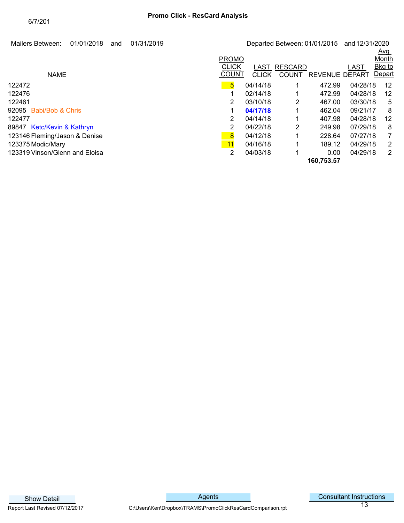# **Promo Click - ResCard Analysis**

| Mailers Between:               | 01/01/2018 | and | 01/31/2019 |                                              |                      |                                | Departed Between: 01/01/2015 | and 12/31/2020 |                                         |
|--------------------------------|------------|-----|------------|----------------------------------------------|----------------------|--------------------------------|------------------------------|----------------|-----------------------------------------|
| <b>NAME</b>                    |            |     |            | <b>PROMO</b><br><b>CLICK</b><br><b>COUNT</b> | LAST<br><b>CLICK</b> | <b>RESCARD</b><br><b>COUNT</b> | <b>REVENUE DEPART</b>        | LAST           | <u>Avg</u><br>Month<br>Bkg to<br>Depart |
| 122472                         |            |     |            | $\sqrt{5}$                                   | 04/14/18             |                                | 472.99                       | 04/28/18       | 12                                      |
| 122476                         |            |     |            |                                              | 02/14/18             |                                | 472.99                       | 04/28/18       | 12                                      |
| 122461                         |            |     |            | 2                                            | 03/10/18             | 2                              | 467.00                       | 03/30/18       | 5                                       |
| Babi/Bob & Chris<br>92095      |            |     |            |                                              | 04/17/18             |                                | 462.04                       | 09/21/17       | 8                                       |
| 122477                         |            |     |            | 2                                            | 04/14/18             |                                | 407.98                       | 04/28/18       | 12                                      |
| 89847 Ketc/Kevin & Kathryn     |            |     |            | 2                                            | 04/22/18             | $\overline{2}$                 | 249.98                       | 07/29/18       | 8                                       |
| 123146 Fleming/Jason & Denise  |            |     |            | $\overline{\mathbf{8}}$                      | 04/12/18             |                                | 228.64                       | 07/27/18       | 7                                       |
| 123375 Modic/Mary              |            |     |            | $\overline{11}$                              | 04/16/18             |                                | 189.12                       | 04/29/18       | 2                                       |
| 123319 Vinson/Glenn and Eloisa |            |     |            | 2                                            | 04/03/18             |                                | 0.00                         | 04/29/18       | 2                                       |

 **160,753.57**